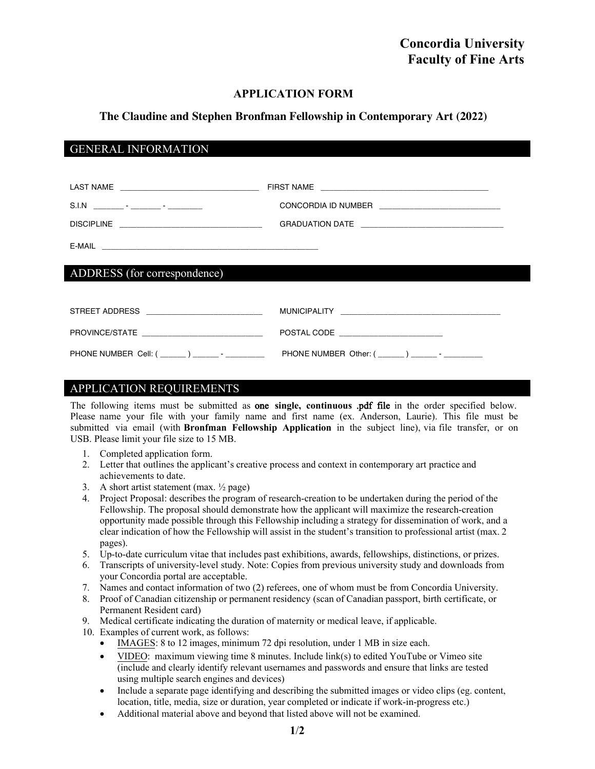# **APPLICATION FORM**

# **The Claudine and Stephen Bronfman Fellowship in Contemporary Art (2022)**

# GENERAL INFORMATION

| ADDRESS (for correspondence)                     |                                                                                                               |
|--------------------------------------------------|---------------------------------------------------------------------------------------------------------------|
| STREET ADDRESS _____________________________     | MUNICIPALITY LAND AND ANNOUNCED AND ALL AND ANNOUNCED AND ALL AND ANNOUNCED AND ALL AND ANNOUNCED AND ALL AND |
| PROVINCE/STATE _______________________________   | POSTAL CODE ________________________                                                                          |
| PHONE NUMBER Cell: ( ______ ) ______ - _________ | PHONE NUMBER Other: ( _______ ) ________- _ __________                                                        |

### APPLICATION REQUIREMENTS

The following items must be submitted as one **single, continuous** .pdf file in the order specified below. Please name your file with your family name and first name (ex. Anderson, Laurie). This file must be submitted via email (with **Bronfman Fellowship Application** in the subject line), via file transfer, or on USB. Please limit your file size to 15 MB.

- 1. Completed application form.
- 2. Letter that outlines the applicant's creative process and context in contemporary art practice and achievements to date.
- 3. A short artist statement  $(max, \frac{1}{2} page)$
- 4. Project Proposal: describes the program of research-creation to be undertaken during the period of the Fellowship. The proposal should demonstrate how the applicant will maximize the research-creation opportunity made possible through this Fellowship including a strategy for dissemination of work, and a clear indication of how the Fellowship will assist in the student's transition to professional artist (max. 2 pages).
- 5. Up-to-date curriculum vitae that includes past exhibitions, awards, fellowships, distinctions, or prizes.
- 6. Transcripts of university-level study. Note: Copies from previous university study and downloads from your Concordia portal are acceptable.
- 7. Names and contact information of two (2) referees, one of whom must be from Concordia University.
- 8. Proof of Canadian citizenship or permanent residency (scan of Canadian passport, birth certificate, or Permanent Resident card)
- 9. Medical certificate indicating the duration of maternity or medical leave, if applicable.
- 10. Examples of current work, as follows:
	- IMAGES: 8 to 12 images, minimum 72 dpi resolution, under 1 MB in size each.
	- VIDEO: maximum viewing time 8 minutes. Include link(s) to edited YouTube or Vimeo site (include and clearly identify relevant usernames and passwords and ensure that links are tested using multiple search engines and devices)
	- Include a separate page identifying and describing the submitted images or video clips (eg. content, location, title, media, size or duration, year completed or indicate if work-in-progress etc.)
	- Additional material above and beyond that listed above will not be examined.